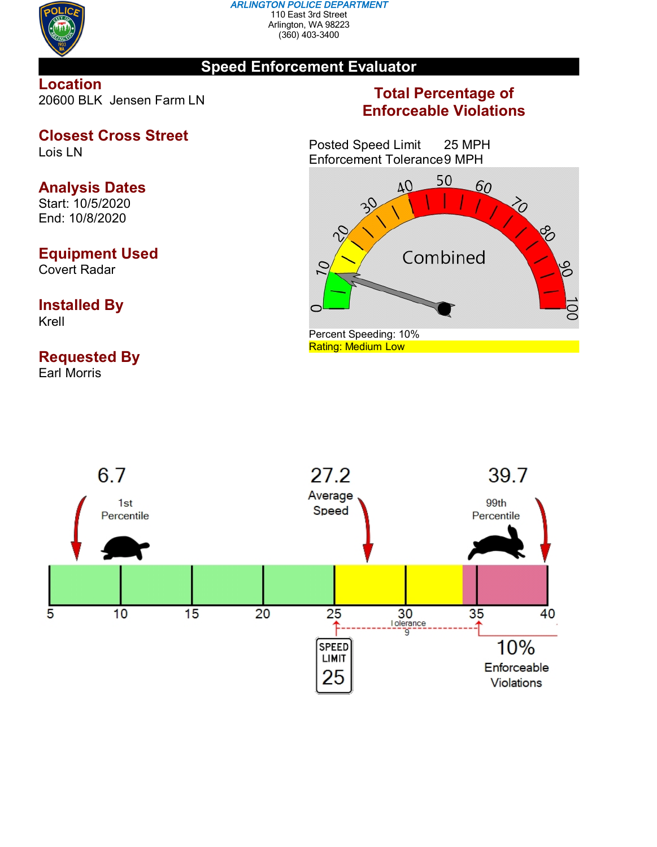

#### *ARLINGTON POLICE DEPARTMENT* 110 East 3rd Street Arlington, WA 98223 (360) 403-3400

### **Speed Enforcement Evaluator**

**Location** 20600 BLK Jensen Farm LN

## **Closest Cross Street**

Lois LN

# **Analysis Dates**

Start: 10/5/2020 End: 10/8/2020

# **Equipment Used**

Covert Radar

### **Installed By** Krell

# **Requested By**

Earl Morris

# **Total Percentage of Enforceable Violations**

Posted Speed Limit 25 MPH Enforcement Tolerance9 MPH



Rating: Medium Low